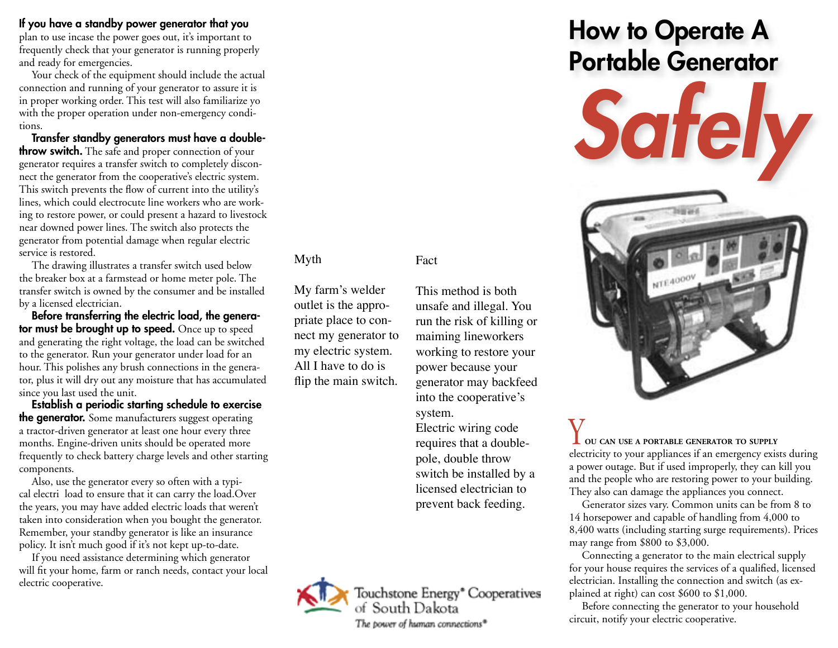If you have a standby power generator that you

plan to use incase the power goes out, it's important to frequently check that your generator is running properly and ready for emergencies.

Your check of the equipment should include the actual connection and running of your generator to assure it is in proper working order. This test will also familiarize yo with the proper operation under non-emergency conditions.

Transfer standby generators must have a double**throw switch.** The safe and proper connection of your generator requires a transfer switch to completely disconnect the generator from the cooperative's electric system. This switch prevents the flow of current into the utility's lines, which could electrocute line workers who are working to restore power, or could present a hazard to livestock near downed power lines. The switch also protects the generator from potential damage when regular electric service is restored.

The drawing illustrates a transfer switch used below the breaker box at a farmstead or home meter pole. The transfer switch is owned by the consumer and be installed by a licensed electrician.

Before transferring the electric load, the generator must be brought up to speed. Once up to speed and generating the right voltage, the load can be switched to the generator. Run your generator under load for an hour. This polishes any brush connections in the generator, plus it will dry out any moisture that has accumulated since you last used the unit.

Establish a periodic starting schedule to exercise **the generator.** Some manufacturers suggest operating a tractor-driven generator at least one hour every three months. Engine-driven units should be operated more frequently to check battery charge levels and other starting components.

Also, use the generator every so often with a typical electri load to ensure that it can carry the load.Over the years, you may have added electric loads that weren't taken into consideration when you bought the generator. Remember, your standby generator is like an insurance policy. It isn't much good if it's not kept up-to-date.

If you need assistance determining which generator will fit your home, farm or ranch needs, contact your local electric cooperative.

#### Myth

My farm's welder outlet is the appropriate place to connect my generator to my electric system. All I have to do is flip the main switch.

This method is both unsafe and illegal. You run the risk of killing or maiming lineworkers working to restore your power because your generator may backfeed into the cooperative's

Fact

system. Electric wiring code requires that a doublepole, double throw switch be installed by a licensed electrician to prevent back feeding.

Touchstone Energy\* Cooperatives of South Dakota The power of human connections\*

# How to Operate A Portable Generator



Y**OU CAN USE <sup>A</sup> PORTABLE GENERATOR TO SUPPLY** electricity to your appliances if an emergency exists during a power outage. But if used improperly, they can kill you and the people who are restoring power to your building. They also can damage the appliances you connect.

Generator sizes vary. Common units can be from 8 to 14 horsepower and capable of handling from 4,000 to 8,400 watts (including starting surge requirements). Prices may range from \$800 to \$3,000.

Connecting a generator to the main electrical supply for your house requires the services of a qualified, licensed electrician. Installing the connection and switch (as explained at right) can cost \$600 to \$1,000.

Before connecting the generator to your household circuit, notify your electric cooperative.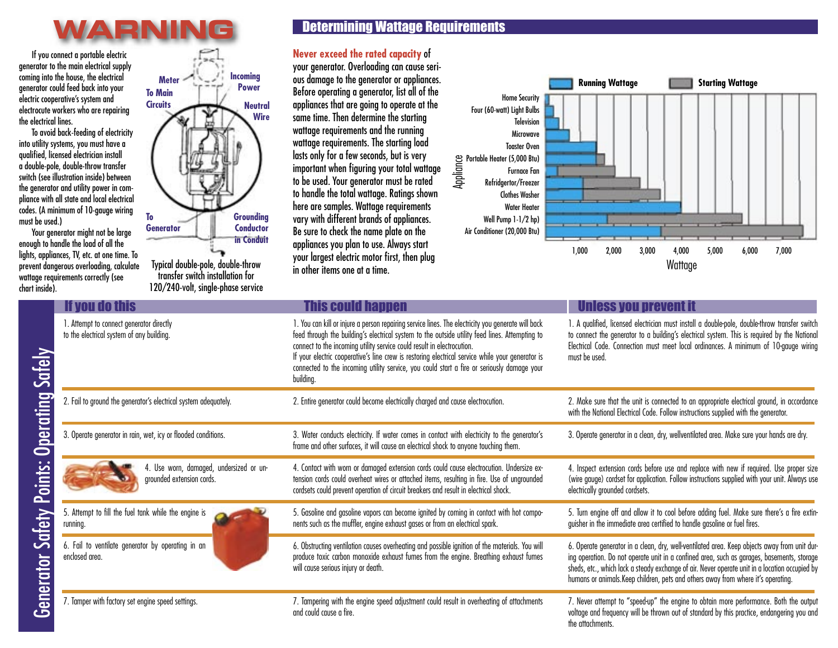### **WARNING**

If you connect a portable electric generator to the main electrical supply coming into the house, the electrical generator could feed back into your electric cooperative's system and electrocute workers who are repairing the electrical lines.

To avoid back-feeding of electricity into utility systems, you must have a qualified, licensed electrician install a double-pole, double-throw transfer switch (see illustration inside) between the generator and utility power in compliance with all state and local electrical codes. (A minimum of 10-gauge wiring must be used.)

Your generator might not be large enough to handle the load of all the lights, appliances, TV, etc. at one time. To prevent dangerous overloading, calculate wattage requirements correctly (see chart inside).



Typical double-pole, double-throw transfer switch installation for 120/240-volt, single-phase service

### Determining Wattage Requirements

#### **Never exceed the rated capacity** of

your generator. Overloading can cause serious damage to the generator or appliances. Before operating a generator, list all of the appliances that are going to operate at the same time. Then determine the starting wattage requirements and the running wattage requirements. The starting load lasts only for a few seconds, but is very important when figuring your total wattage to be used. Your generator must be rated to handle the total wattage. Ratings shown here are samples. Wattage requirements vary with different brands of appliances. Be sure to check the name plate on the appliances you plan to use. Always start your largest electric motor first, then plug in other items one at a time.



| If you do this                                                                        | <b>This could happen</b>                                                                                                                                                                                                                                                                                                                                                                                                                                                                      | <b>Unless you prevent it</b>                                                                                                                                                                                                                                                                                                                                                      |
|---------------------------------------------------------------------------------------|-----------------------------------------------------------------------------------------------------------------------------------------------------------------------------------------------------------------------------------------------------------------------------------------------------------------------------------------------------------------------------------------------------------------------------------------------------------------------------------------------|-----------------------------------------------------------------------------------------------------------------------------------------------------------------------------------------------------------------------------------------------------------------------------------------------------------------------------------------------------------------------------------|
| 1. Attempt to connect generator directly<br>to the electrical system of any building. | 1. You can kill or injure a person repairing service lines. The electricity you generate will back<br>feed through the building's electrical system to the outside utility feed lines. Attempting to<br>connect to the incoming utility service could result in electrocution.<br>If your electric cooperative's line crew is restoring electrical service while your generator is<br>connected to the incoming utility service, you could start a fire or seriously damage your<br>building. | 1. A qualified, licensed electrician must install a double-pole, double-throw transfer switch<br>to connect the generator to a building's electrical system. This is required by the National<br>Electrical Code. Connection must meet local ordinances. A minimum of 10-gauge wiring<br>must be used.                                                                            |
| 2. Fail to ground the generator's electrical system adequately.                       | 2. Entire generator could become electrically charged and cause electrocution.                                                                                                                                                                                                                                                                                                                                                                                                                | 2. Make sure that the unit is connected to an appropriate electrical ground, in accordance<br>with the National Electrical Code. Follow instructions supplied with the generator.                                                                                                                                                                                                 |
| 3. Operate generator in rain, wet, icy or flooded conditions.                         | 3. Water conducts electricity. If water comes in contact with electricity to the generator's<br>frame and other surfaces, it will cause an electrical shock to anyone touching them.                                                                                                                                                                                                                                                                                                          | 3. Operate generator in a clean, dry, wellventilated area. Make sure your hands are dry.                                                                                                                                                                                                                                                                                          |
| 4. Use worn, damaged, undersized or un-<br>grounded extension cords.                  | 4. Contact with worn or damaged extension cords could cause electrocution. Undersize ex-<br>tension cords could overheat wires or attached items, resulting in fire. Use of ungrounded<br>cordsets could prevent operation of circuit breakers and result in electrical shock.                                                                                                                                                                                                                | 4. Inspect extension cords before use and replace with new if required. Use proper size<br>(wire gauge) cordset for application. Follow instructions supplied with your unit. Always use<br>electrically grounded cordsets.                                                                                                                                                       |
| 5. Attempt to fill the fuel tank while the engine is<br>running.                      | 5. Gasoline and gasoline vapors can become ignited by coming in contact with hot compo-<br>nents such as the muffler, engine exhaust gases or from an electrical spark.                                                                                                                                                                                                                                                                                                                       | 5. Turn engine off and allow it to cool before adding fuel. Make sure there's a fire extin-<br>guisher in the immediate area certified to handle gasoline or fuel fires.                                                                                                                                                                                                          |
| 6. Fail to ventilate generator by operating in an<br>enclosed area.                   | 6. Obstructing ventilation causes overheating and possible ignition of the materials. You will<br>produce toxic carbon monoxide exhaust fumes from the engine. Breathing exhaust fumes<br>will cause serious injury or death.                                                                                                                                                                                                                                                                 | 6. Operate generator in a clean, dry, well-ventilated area. Keep objects away from unit dur-<br>ing operation. Do not operate unit in a confined area, such as garages, basements, storage<br>sheds, etc., which lack a steady exchange of air. Never operate unit in a location occupied by<br>humans or animals. Keep children, pets and others away from where it's operating. |
| 7. Tamper with factory set engine speed settings.                                     | 7. Tampering with the engine speed adjustment could result in overheating of attachments<br>and could cause a fire.                                                                                                                                                                                                                                                                                                                                                                           | 7. Never attempt to "speed-up" the engine to obtain more performance. Both the output<br>voltage and frequency will be thrown out of standard by this practice, endangering you and<br>the attachments.                                                                                                                                                                           |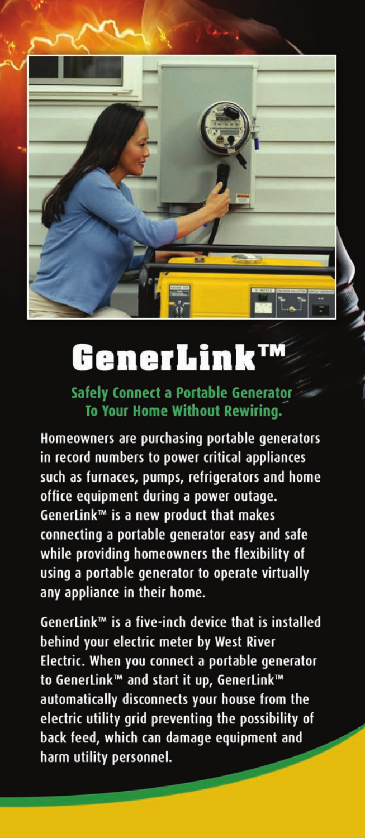

## GenerLink™

**Safely Connect a Portable Generator** To Your Home Without Rewiring.

Homeowners are purchasing portable generators in record numbers to power critical appliances such as furnaces, pumps, refrigerators and home office equipment during a power outage. GenerLink™ is a new product that makes connecting a portable generator easy and safe while providing homeowners the flexibility of using a portable generator to operate virtually any appliance in their home.

GenerLink™ is a five-inch device that is installed behind your electric meter by West River Electric. When you connect a portable generator to GenerLink™ and start it up, GenerLink™ automatically disconnects your house from the electric utility grid preventing the possibility of back feed, which can damage equipment and harm utility personnel.